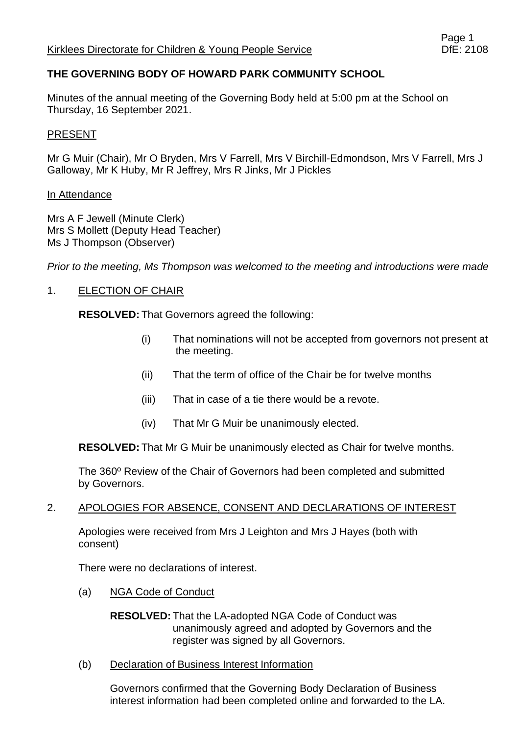## **THE GOVERNING BODY OF HOWARD PARK COMMUNITY SCHOOL**

Minutes of the annual meeting of the Governing Body held at 5:00 pm at the School on Thursday, 16 September 2021.

#### PRESENT

Mr G Muir (Chair), Mr O Bryden, Mrs V Farrell, Mrs V Birchill-Edmondson, Mrs V Farrell, Mrs J Galloway, Mr K Huby, Mr R Jeffrey, Mrs R Jinks, Mr J Pickles

#### In Attendance

Mrs A F Jewell (Minute Clerk) Mrs S Mollett (Deputy Head Teacher) Ms J Thompson (Observer)

*Prior to the meeting, Ms Thompson was welcomed to the meeting and introductions were made*

### 1. ELECTION OF CHAIR

**RESOLVED:** That Governors agreed the following:

- (i) That nominations will not be accepted from governors not present at the meeting.
- (ii) That the term of office of the Chair be for twelve months
- (iii) That in case of a tie there would be a revote.
- (iv) That Mr G Muir be unanimously elected.

**RESOLVED:** That Mr G Muir be unanimously elected as Chair for twelve months.

The 360º Review of the Chair of Governors had been completed and submitted by Governors.

#### 2. APOLOGIES FOR ABSENCE, CONSENT AND DECLARATIONS OF INTEREST

Apologies were received from Mrs J Leighton and Mrs J Hayes (both with consent)

There were no declarations of interest.

(a) NGA Code of Conduct

**RESOLVED:** That the LA-adopted NGA Code of Conduct was unanimously agreed and adopted by Governors and the register was signed by all Governors.

(b) Declaration of Business Interest Information

Governors confirmed that the Governing Body Declaration of Business interest information had been completed online and forwarded to the LA.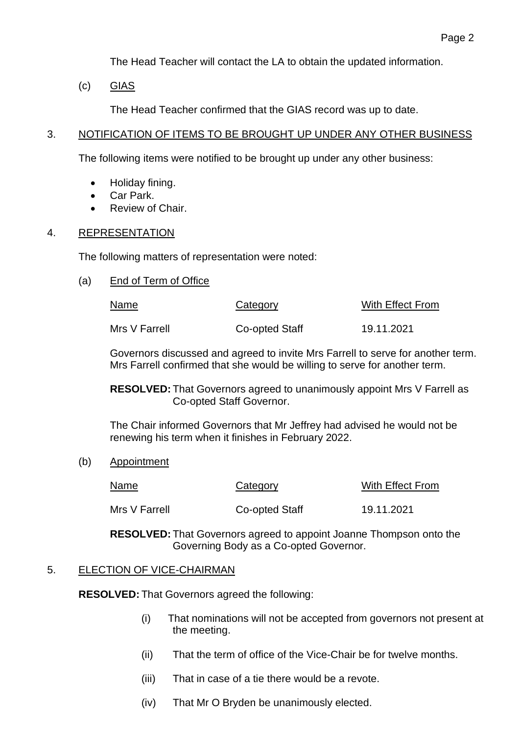The Head Teacher will contact the LA to obtain the updated information.

(c) GIAS

The Head Teacher confirmed that the GIAS record was up to date.

### 3. NOTIFICATION OF ITEMS TO BE BROUGHT UP UNDER ANY OTHER BUSINESS

The following items were notified to be brought up under any other business:

- Holiday fining.
- Car Park.
- Review of Chair.

## 4. REPRESENTATION

The following matters of representation were noted:

(a) End of Term of Office

| Name          | Category       | With Effect From |
|---------------|----------------|------------------|
| Mrs V Farrell | Co-opted Staff | 19.11.2021       |

Governors discussed and agreed to invite Mrs Farrell to serve for another term. Mrs Farrell confirmed that she would be willing to serve for another term.

**RESOLVED:** That Governors agreed to unanimously appoint Mrs V Farrell as Co-opted Staff Governor.

The Chair informed Governors that Mr Jeffrey had advised he would not be renewing his term when it finishes in February 2022.

(b) Appointment

| <b>Name</b>   | Category       | With Effect From |
|---------------|----------------|------------------|
| Mrs V Farrell | Co-opted Staff | 19.11.2021       |

**RESOLVED:** That Governors agreed to appoint Joanne Thompson onto the Governing Body as a Co-opted Governor.

## 5. ELECTION OF VICE-CHAIRMAN

**RESOLVED:** That Governors agreed the following:

- (i) That nominations will not be accepted from governors not present at the meeting.
- (ii) That the term of office of the Vice-Chair be for twelve months.
- (iii) That in case of a tie there would be a revote.
- (iv) That Mr O Bryden be unanimously elected.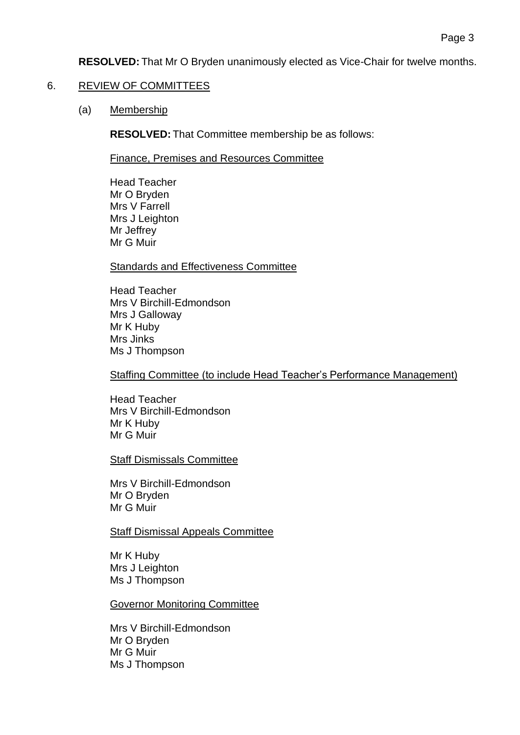**RESOLVED:** That Mr O Bryden unanimously elected as Vice-Chair for twelve months.

### 6. REVIEW OF COMMITTEES

(a) Membership

**RESOLVED:** That Committee membership be as follows:

Finance, Premises and Resources Committee

Head Teacher Mr O Bryden Mrs V Farrell Mrs J Leighton Mr Jeffrey Mr G Muir

Standards and Effectiveness Committee

Head Teacher Mrs V Birchill-Edmondson Mrs J Galloway Mr K Huby Mrs Jinks Ms J Thompson

Staffing Committee (to include Head Teacher's Performance Management)

Head Teacher Mrs V Birchill-Edmondson Mr K Huby Mr G Muir

Staff Dismissals Committee

Mrs V Birchill-Edmondson Mr O Bryden Mr G Muir

Staff Dismissal Appeals Committee

Mr K Huby Mrs J Leighton Ms J Thompson

Governor Monitoring Committee

Mrs V Birchill-Edmondson Mr O Bryden Mr G Muir Ms J Thompson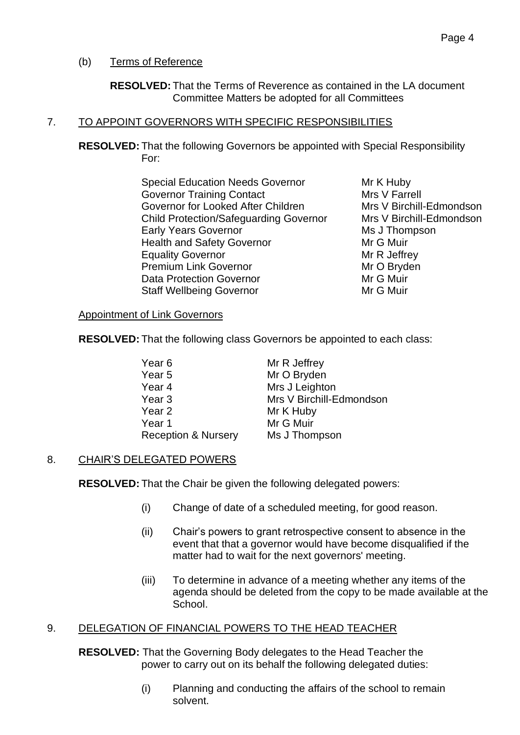## (b) Terms of Reference

**RESOLVED:** That the Terms of Reverence as contained in the LA document Committee Matters be adopted for all Committees

## 7. TO APPOINT GOVERNORS WITH SPECIFIC RESPONSIBILITIES

**RESOLVED:** That the following Governors be appointed with Special Responsibility For:

> Special Education Needs Governor Mr K Huby Governor Training Contact Mrs V Farrell Governor for Looked After Children Mrs V Birchill-Edmondson Child Protection/Safeguarding Governor Mrs V Birchill-Edmondson Early Years Governor Ms J Thompson Health and Safety Governor Mr G Muir Equality Governor **Equality** Governor Mr R Jeffrey Premium Link Governor Mr O Bryden Data Protection Governor **Mr G Muir** Mr G Muir Staff Wellbeing Governor **Mr G Muir** Mr G Muir

### Appointment of Link Governors

**RESOLVED:** That the following class Governors be appointed to each class:

| Year 6                         | Mr R Jeffrey             |
|--------------------------------|--------------------------|
| Year 5                         | Mr O Bryden              |
| Year 4                         | Mrs J Leighton           |
| Year 3                         | Mrs V Birchill-Edmondson |
| Year 2                         | Mr K Huby                |
| Year 1                         | Mr G Muir                |
| <b>Reception &amp; Nursery</b> | Ms J Thompson            |

## 8. CHAIR'S DELEGATED POWERS

**RESOLVED:** That the Chair be given the following delegated powers:

- (i) Change of date of a scheduled meeting, for good reason.
- (ii) Chair's powers to grant retrospective consent to absence in the event that that a governor would have become disqualified if the matter had to wait for the next governors' meeting.
- (iii) To determine in advance of a meeting whether any items of the agenda should be deleted from the copy to be made available at the School.

## 9. DELEGATION OF FINANCIAL POWERS TO THE HEAD TEACHER

**RESOLVED:** That the Governing Body delegates to the Head Teacher the power to carry out on its behalf the following delegated duties:

> (i) Planning and conducting the affairs of the school to remain solvent.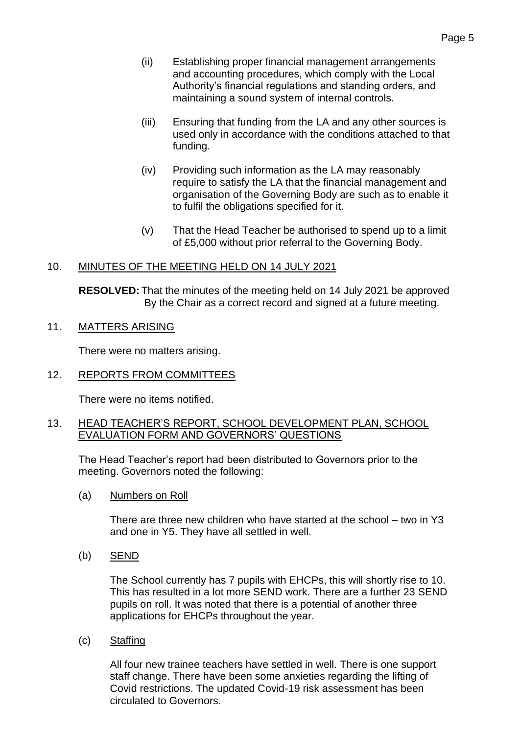- (ii) Establishing proper financial management arrangements and accounting procedures, which comply with the Local Authority's financial regulations and standing orders, and maintaining a sound system of internal controls.
- (iii) Ensuring that funding from the LA and any other sources is used only in accordance with the conditions attached to that funding.
- (iv) Providing such information as the LA may reasonably require to satisfy the LA that the financial management and organisation of the Governing Body are such as to enable it to fulfil the obligations specified for it.
- (v) That the Head Teacher be authorised to spend up to a limit of £5,000 without prior referral to the Governing Body.

#### 10. MINUTES OF THE MEETING HELD ON 14 JULY 2021

**RESOLVED:** That the minutes of the meeting held on 14 July 2021 be approved By the Chair as a correct record and signed at a future meeting.

## 11. MATTERS ARISING

There were no matters arising.

12. REPORTS FROM COMMITTEES

There were no items notified.

### 13. HEAD TEACHER'S REPORT, SCHOOL DEVELOPMENT PLAN, SCHOOL EVALUATION FORM AND GOVERNORS' QUESTIONS

The Head Teacher's report had been distributed to Governors prior to the meeting. Governors noted the following:

(a) Numbers on Roll

There are three new children who have started at the school – two in Y3 and one in Y5. They have all settled in well.

(b) SEND

The School currently has 7 pupils with EHCPs, this will shortly rise to 10. This has resulted in a lot more SEND work. There are a further 23 SEND pupils on roll. It was noted that there is a potential of another three applications for EHCPs throughout the year.

(c) Staffing

All four new trainee teachers have settled in well. There is one support staff change. There have been some anxieties regarding the lifting of Covid restrictions. The updated Covid-19 risk assessment has been circulated to Governors.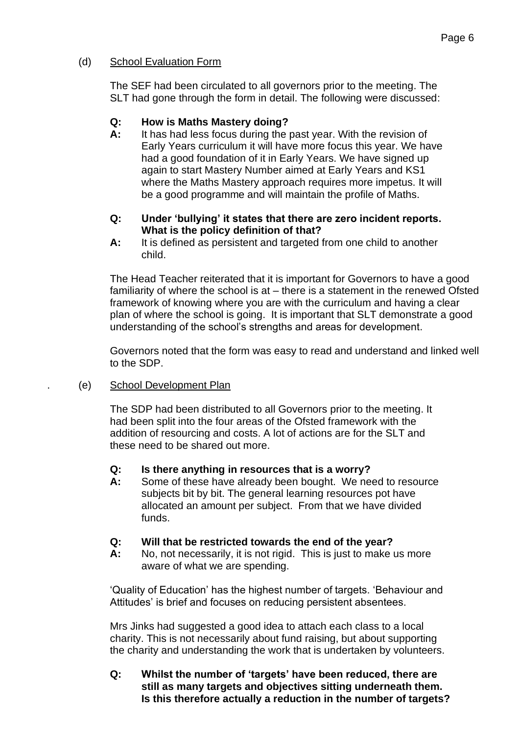### (d) School Evaluation Form

The SEF had been circulated to all governors prior to the meeting. The SLT had gone through the form in detail. The following were discussed:

### **Q: How is Maths Mastery doing?**

**A:** It has had less focus during the past year. With the revision of Early Years curriculum it will have more focus this year. We have had a good foundation of it in Early Years. We have signed up again to start Mastery Number aimed at Early Years and KS1 where the Maths Mastery approach requires more impetus. It will be a good programme and will maintain the profile of Maths.

#### **Q: Under 'bullying' it states that there are zero incident reports. What is the policy definition of that?**

**A:** It is defined as persistent and targeted from one child to another child.

The Head Teacher reiterated that it is important for Governors to have a good familiarity of where the school is at – there is a statement in the renewed Ofsted framework of knowing where you are with the curriculum and having a clear plan of where the school is going. It is important that SLT demonstrate a good understanding of the school's strengths and areas for development.

Governors noted that the form was easy to read and understand and linked well to the SDP.

#### . (e) School Development Plan

The SDP had been distributed to all Governors prior to the meeting. It had been split into the four areas of the Ofsted framework with the addition of resourcing and costs. A lot of actions are for the SLT and these need to be shared out more.

#### **Q: Is there anything in resources that is a worry?**

**A:** Some of these have already been bought. We need to resource subjects bit by bit. The general learning resources pot have allocated an amount per subject. From that we have divided funds.

#### **Q: Will that be restricted towards the end of the year?**

**A:** No, not necessarily, it is not rigid. This is just to make us more aware of what we are spending.

'Quality of Education' has the highest number of targets. 'Behaviour and Attitudes' is brief and focuses on reducing persistent absentees.

Mrs Jinks had suggested a good idea to attach each class to a local charity. This is not necessarily about fund raising, but about supporting the charity and understanding the work that is undertaken by volunteers.

**Q: Whilst the number of 'targets' have been reduced, there are still as many targets and objectives sitting underneath them. Is this therefore actually a reduction in the number of targets?**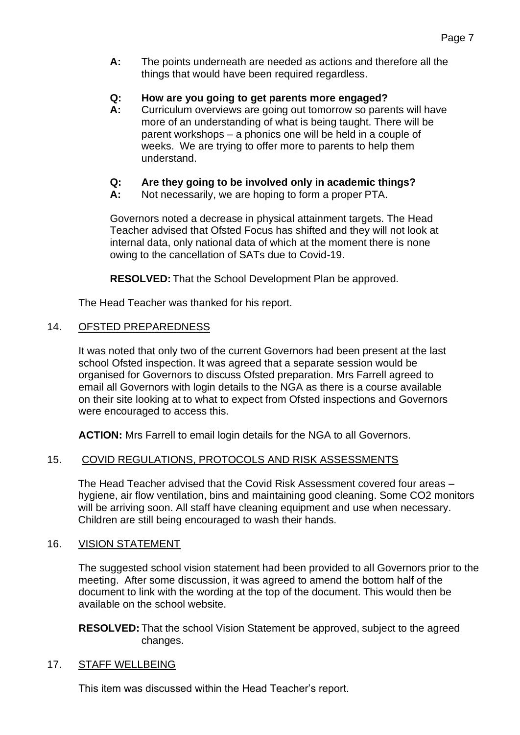**A:** The points underneath are needed as actions and therefore all the things that would have been required regardless.

### **Q: How are you going to get parents more engaged?**

- **A:** Curriculum overviews are going out tomorrow so parents will have more of an understanding of what is being taught. There will be parent workshops – a phonics one will be held in a couple of weeks. We are trying to offer more to parents to help them understand.
- **Q: Are they going to be involved only in academic things?**
- **A:** Not necessarily, we are hoping to form a proper PTA.

Governors noted a decrease in physical attainment targets. The Head Teacher advised that Ofsted Focus has shifted and they will not look at internal data, only national data of which at the moment there is none owing to the cancellation of SATs due to Covid-19.

**RESOLVED:** That the School Development Plan be approved.

The Head Teacher was thanked for his report.

### 14. OFSTED PREPAREDNESS

It was noted that only two of the current Governors had been present at the last school Ofsted inspection. It was agreed that a separate session would be organised for Governors to discuss Ofsted preparation. Mrs Farrell agreed to email all Governors with login details to the NGA as there is a course available on their site looking at to what to expect from Ofsted inspections and Governors were encouraged to access this.

**ACTION:** Mrs Farrell to email login details for the NGA to all Governors.

#### 15. COVID REGULATIONS, PROTOCOLS AND RISK ASSESSMENTS

The Head Teacher advised that the Covid Risk Assessment covered four areas – hygiene, air flow ventilation, bins and maintaining good cleaning. Some CO2 monitors will be arriving soon. All staff have cleaning equipment and use when necessary. Children are still being encouraged to wash their hands.

## 16. VISION STATEMENT

The suggested school vision statement had been provided to all Governors prior to the meeting. After some discussion, it was agreed to amend the bottom half of the document to link with the wording at the top of the document. This would then be available on the school website.

**RESOLVED:** That the school Vision Statement be approved, subject to the agreed changes.

#### 17. STAFF WELLBEING

This item was discussed within the Head Teacher's report.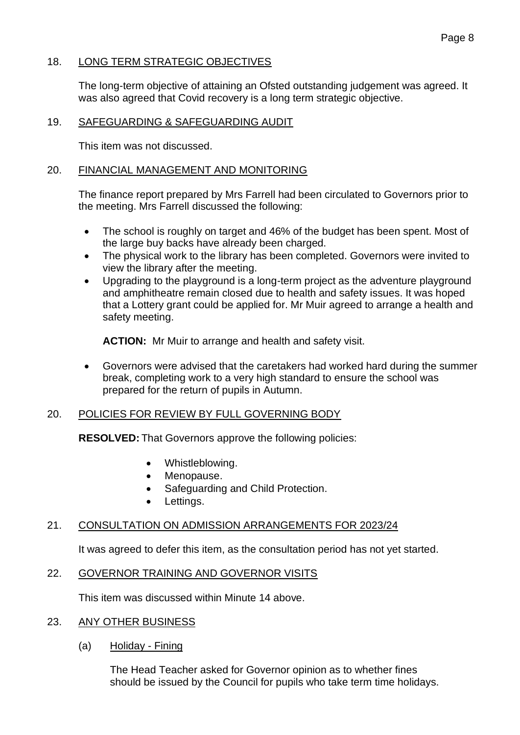#### 18. LONG TERM STRATEGIC OBJECTIVES

The long-term objective of attaining an Ofsted outstanding judgement was agreed. It was also agreed that Covid recovery is a long term strategic objective.

#### 19. SAFEGUARDING & SAFEGUARDING AUDIT

This item was not discussed.

#### 20. FINANCIAL MANAGEMENT AND MONITORING

The finance report prepared by Mrs Farrell had been circulated to Governors prior to the meeting. Mrs Farrell discussed the following:

- The school is roughly on target and 46% of the budget has been spent. Most of the large buy backs have already been charged.
- The physical work to the library has been completed. Governors were invited to view the library after the meeting.
- Upgrading to the playground is a long-term project as the adventure playground and amphitheatre remain closed due to health and safety issues. It was hoped that a Lottery grant could be applied for. Mr Muir agreed to arrange a health and safety meeting.

**ACTION:** Mr Muir to arrange and health and safety visit.

• Governors were advised that the caretakers had worked hard during the summer break, completing work to a very high standard to ensure the school was prepared for the return of pupils in Autumn.

#### 20. POLICIES FOR REVIEW BY FULL GOVERNING BODY

**RESOLVED:** That Governors approve the following policies:

- Whistleblowing.
- Menopause.
- Safeguarding and Child Protection.
- Lettings.

#### 21. CONSULTATION ON ADMISSION ARRANGEMENTS FOR 2023/24

It was agreed to defer this item, as the consultation period has not yet started.

#### 22. GOVERNOR TRAINING AND GOVERNOR VISITS

This item was discussed within Minute 14 above.

#### 23. ANY OTHER BUSINESS

(a) Holiday - Fining

The Head Teacher asked for Governor opinion as to whether fines should be issued by the Council for pupils who take term time holidays.